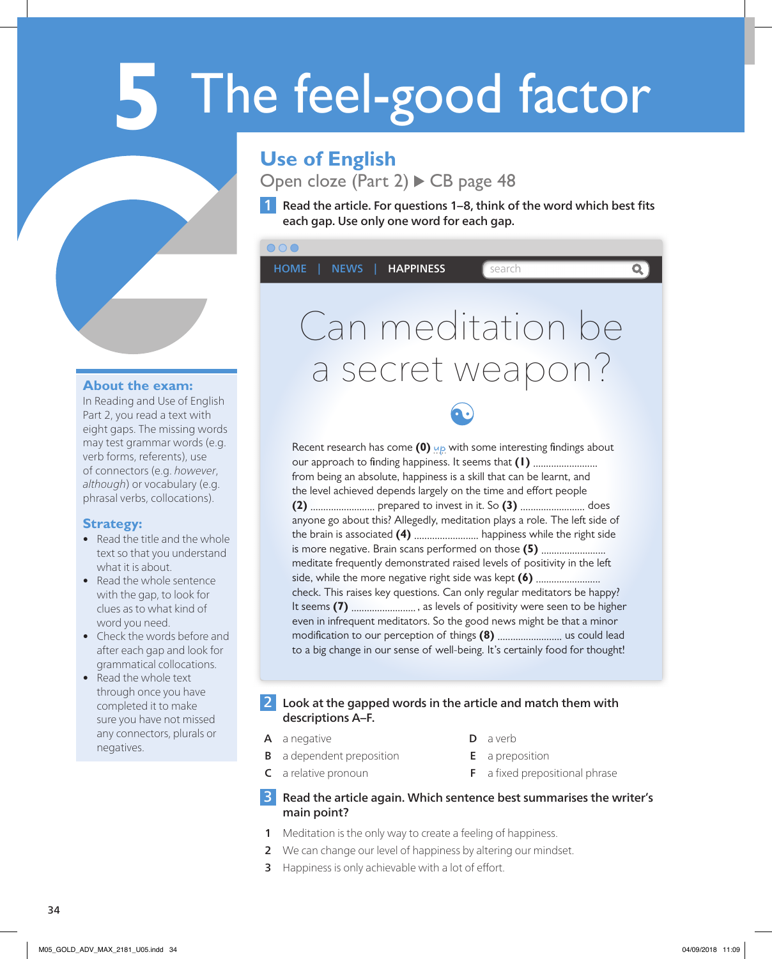# **5** The feel-good factor

## **Use of English**

Open cloze (Part  $2)$   $\triangleright$  CB page 48

1 Read the article. For questions 1–8, think of the word which best fits each gap. Use only one word for each gap.

## $000$ HOME | NEWS | HAPPINESS | Search  $\overline{\mathbf{Q}}$ Can meditation be a secret weapon? Recent research has come (0) up with some interesting findings about

#### **About the exam:**

In Reading and Use of English Part 2, you read a text with eight gaps. The missing words may test grammar words (e.g. verb forms, referents), use of connectors (e.g. *however*, *although*) or vocabulary (e.g. phrasal verbs, collocations).

#### **Strategy:**

- Read the title and the whole text so that you understand what it is about.
- Read the whole sentence with the gap, to look for clues as to what kind of word you need.
- Check the words before and after each gap and look for grammatical collocations.
- Read the whole text through once you have completed it to make sure you have not missed any connectors, plurals or negatives.

our approach to finding happiness. It seems that (1) ........................... from being an absolute, happiness is a skill that can be learnt, and the level achieved depends largely on the time and effort people **(2)** ......................... prepared to invest in it. So **(3)** ......................... does anyone go about this? Allegedly, meditation plays a role. The left side of the brain is associated **(4)** ......................... happiness while the right side is more negative. Brain scans performed on those (5) ............................ meditate frequently demonstrated raised levels of positivity in the left side, while the more negative right side was kept **(6)** ......................... check. This raises key questions. Can only regular meditators be happy? It seems **(7)** ......................... , as levels of positivity were seen to be higher even in infrequent meditators. So the good news might be that a minor modi cation to our perception of things **(8)** ......................... us could lead to a big change in our sense of well-being. It's certainly food for thought!

#### 2 Look at the gapped words in the article and match them with descriptions A–F.

A a negative

- **D** a verb
- **B** a dependent preposition
- 
- E a preposition
- C a relative pronoun
- 
- $F$  a fixed prepositional phrase

#### **3** Read the article again. Which sentence best summarises the writer's main point?

- **1** Meditation is the only way to create a feeling of happiness.
- 2 We can change our level of happiness by altering our mindset.
- **3** Happiness is only achievable with a lot of effort.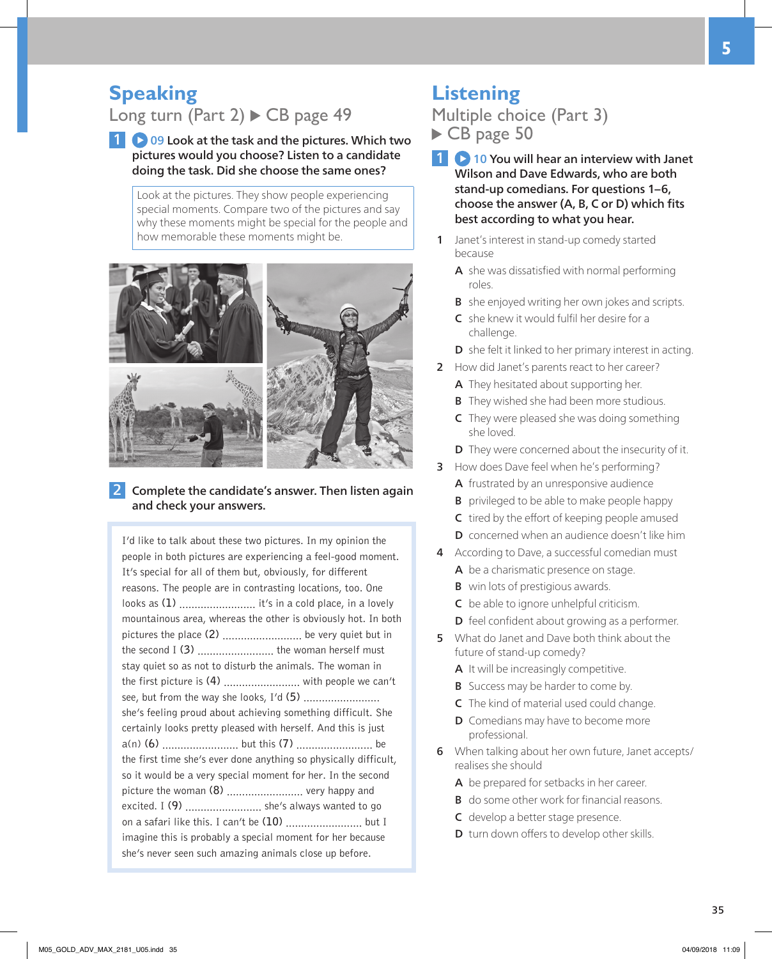# **The Speaking**<br>Long turn (I

Long turn (Part 2)  $\triangleright$  CB page 49

**1 09 Look at the task and the pictures. Which two** pictures would you choose? Listen to a candidate doing the task. Did she choose the same ones?

Look at the pictures. They show people experiencing special moments. Compare two of the pictures and say why these moments might be special for the people and how memorable these moments might be.



2 Complete the candidate's answer. Then listen again and check your answers.

I'd like to talk about these two pictures. In my opinion the people in both pictures are experiencing a feel-good moment. It's special for all of them but, obviously, for different reasons. The people are in contrasting locations, too. One looks as (1) .............................. it's in a cold place, in a lovely mountainous area, whereas the other is obviously hot. In both pictures the place **(2)** .......................... be very quiet but in the second I **(3)** ......................... the woman herself must stay quiet so as not to disturb the animals. The woman in the first picture is **(4)** ......................... with people we can't see, but from the way she looks, I'd **(5)** ......................... she's feeling proud about achieving something difficult. She certainly looks pretty pleased with herself. And this is just a(n) **(6)** ......................... but this **(7)** ......................... be the first time she's ever done anything so physically difficult, so it would be a very special moment for her. In the second picture the woman **(8)** ......................... very happy and excited. I **(9)** ......................... she's always wanted to go on a safari like this. I can't be **(10)** ......................... but I imagine this is probably a special moment for her because she's never seen such amazing animals close up before.

## **Listening**

Multiple choice (Part 3) CB page 50

- 1 **0** 10 You will hear an interview with Janet Wilson and Dave Edwards, who are both stand-up comedians. For questions 1–6, choose the answer (A, B, C or D) which fits best according to what you hear.
- 1 Janet's interest in stand-up comedy started because
	- A she was dissatisfied with normal performing roles.
	- **B** she enjoyed writing her own jokes and scripts.
	- C she knew it would fulfil her desire for a challenge.
	- D she felt it linked to her primary interest in acting.
- 2 How did Janet's parents react to her career?
	- A They hesitated about supporting her.
	- **B** They wished she had been more studious.
	- **C** They were pleased she was doing something she loved.
	- **D** They were concerned about the insecurity of it.
- 3 How does Dave feel when he's performing?
	- A frustrated by an unresponsive audience
	- **B** privileged to be able to make people happy
	- C tired by the effort of keeping people amused
	- D concerned when an audience doesn't like him
- 4 According to Dave, a successful comedian must A be a charismatic presence on stage.
	- **B** win lots of prestigious awards.
	- C be able to ignore unhelpful criticism.
	- D feel confident about growing as a performer.
- 5 What do Janet and Dave both think about the future of stand-up comedy?
	- A It will be increasingly competitive.
	- **B** Success may be harder to come by.
	- C The kind of material used could change.
	- **D** Comedians may have to become more professional.
- 6 When talking about her own future, Janet accepts/ realises she should
	- A be prepared for setbacks in her career.
	- **B** do some other work for financial reasons.
	- C develop a better stage presence.
	- **D** turn down offers to develop other skills.

**5**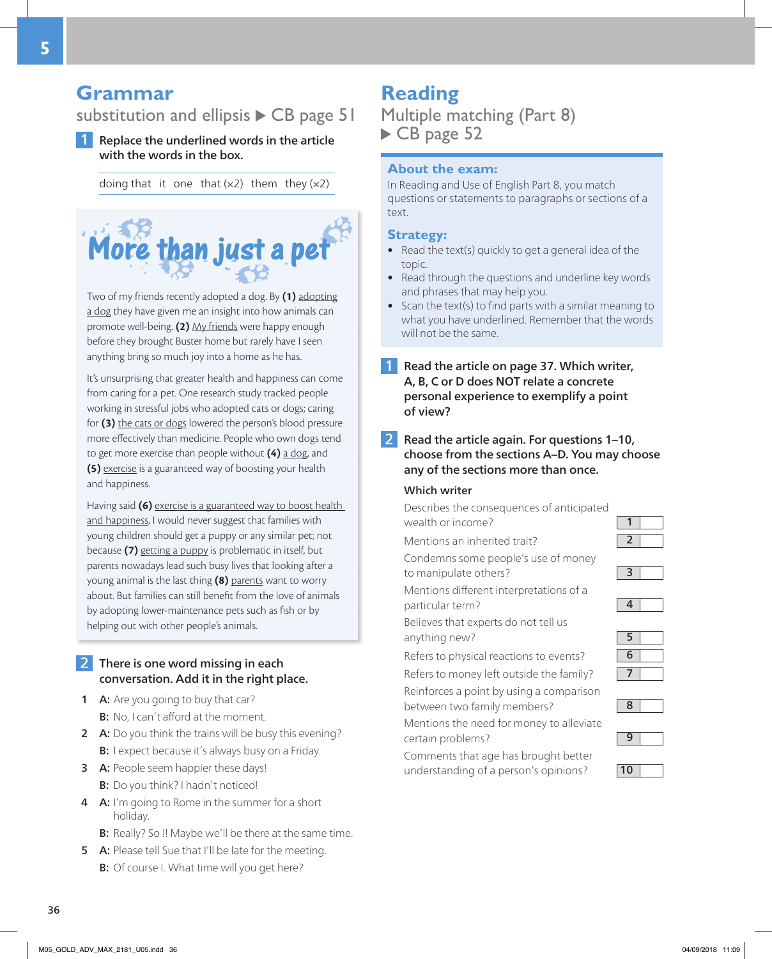## **Grammar**

## substitution and ellipsis  $\triangleright$  CB page 51

1 Replace the underlined words in the article with the words in the box.

doing that it one that  $(x2)$  them they  $(x2)$ 



Two of my friends recently adopted a dog. By **(1)** adopting a dog they have given me an insight into how animals can promote well-being. **(2)** My friends were happy enough before they brought Buster home but rarely have I seen anything bring so much joy into a home as he has.

It's unsurprising that greater health and happiness can come from caring for a pet. One research study tracked people working in stressful jobs who adopted cats or dogs; caring for **(3)** the cats or dogs lowered the person's blood pressure more effectively than medicine. People who own dogs tend to get more exercise than people without **(4)** a dog, and **(5)** exercise is a guaranteed way of boosting your health and happiness.

Having said **(6)** exercise is a guaranteed way to boost health and happiness, I would never suggest that families with young children should get a puppy or any similar pet; not because **(7)** getting a puppy is problematic in itself, but parents nowadays lead such busy lives that looking after a young animal is the last thing **(8)** parents want to worry about. But families can still benefit from the love of animals by adopting lower-maintenance pets such as fish or by helping out with other people's animals.

#### 2 There is one word missing in each conversation. Add it in the right place.

- **1 A:** Are you going to buy that car? **B:** No, I can't afford at the moment.
- 2 A: Do you think the trains will be busy this evening? B: I expect because it's always busy on a Friday.
- **3** A: People seem happier these days! B: Do you think? I hadn't noticed!
- 4 A: I'm going to Rome in the summer for a short holiday.
	- B: Really? So I! Maybe we'll be there at the same time.
- 5 A: Please tell Sue that I'll be late for the meeting. B: Of course I. What time will you get here?

## **Reading**

Multiple matching (Part 8) CB page 52

#### **About the exam:**

In Reading and Use of English Part 8, you match questions or statements to paragraphs or sections of a text.

#### **Strategy:**

- Read the text(s) quickly to get a general idea of the topic.
- Read through the questions and underline key words and phrases that may help you.
- Scan the text(s) to find parts with a similar meaning to what you have underlined. Remember that the words will not be the same.
- 1 Read the article on page 37. Which writer, A, B, C or D does NOT relate a concrete personal experience to exemplify a point of view?
- 2 Read the article again. For questions 1–10, choose from the sections A–D. You may choose any of the sections more than once.

#### Which writer

Describes the consequences of anticipated wealth or income?  $\boxed{1}$ 

Mentions an inherited trait?  $\boxed{2}$ 

Condemns some people's use of money

to manipulate others? **3** Mentions different interpretations of a

particular term? **4** 

Believes that experts do not tell us

anything new? **5** 

Refers to physical reactions to events?  $\boxed{6}$ 

Refers to money left outside the family?  $\boxed{7}$ Reinforces a point by using a comparison between two family members?  $\begin{array}{|c|c|} \hline \mathbf{8} \end{array}$ 

Mentions the need for money to alleviate



Comments that age has brought better understanding of a person's opinions?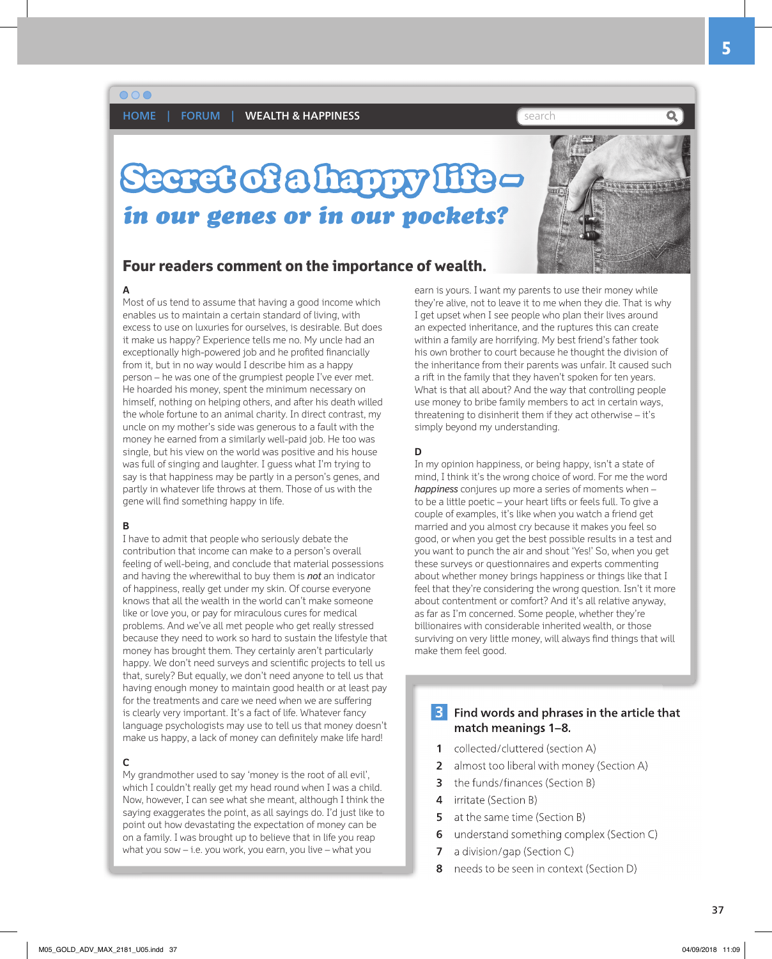$\circ$   $\circ$ 

HOME | FORUM | WEALTH & HAPPINESS **Search Search Search** 

## Secret of a happy life – *in our genes or in our pockets?*



#### **Four readers comment on the importance of wealth.**

#### **A**

Most of us tend to assume that having a good income which enables us to maintain a certain standard of living, with excess to use on luxuries for ourselves, is desirable. But does it make us happy? Experience tells me no. My uncle had an exceptionally high-powered job and he profited financially from it, but in no way would I describe him as a happy person – he was one of the grumpiest people I've ever met. He hoarded his money, spent the minimum necessary on himself, nothing on helping others, and after his death willed the whole fortune to an animal charity. In direct contrast, my uncle on my mother's side was generous to a fault with the money he earned from a similarly well-paid job. He too was single, but his view on the world was positive and his house was full of singing and laughter. I guess what I'm trying to say is that happiness may be partly in a person's genes, and partly in whatever life throws at them. Those of us with the gene will find something happy in life.

#### **B**

I have to admit that people who seriously debate the contribution that income can make to a person's overall feeling of well-being, and conclude that material possessions and having the wherewithal to buy them is *not* an indicator of happiness, really get under my skin. Of course everyone knows that all the wealth in the world can't make someone like or love you, or pay for miraculous cures for medical problems. And we've all met people who get really stressed because they need to work so hard to sustain the lifestyle that money has brought them. They certainly aren't particularly happy. We don't need surveys and scientific projects to tell us that, surely? But equally, we don't need anyone to tell us that having enough money to maintain good health or at least pay for the treatments and care we need when we are suffering is clearly very important. It's a fact of life. Whatever fancy language psychologists may use to tell us that money doesn't make us happy, a lack of money can definitely make life hard!

#### **C**

My grandmother used to say 'money is the root of all evil', which I couldn't really get my head round when I was a child. Now, however, I can see what she meant, although I think the saying exaggerates the point, as all sayings do. I'd just like to point out how devastating the expectation of money can be on a family. I was brought up to believe that in life you reap what you sow – i.e. you work, you earn, you live – what you

earn is yours. I want my parents to use their money while they're alive, not to leave it to me when they die. That is why I get upset when I see people who plan their lives around an expected inheritance, and the ruptures this can create within a family are horrifying. My best friend's father took his own brother to court because he thought the division of the inheritance from their parents was unfair. It caused such a rift in the family that they haven't spoken for ten years. What is that all about? And the way that controlling people use money to bribe family members to act in certain ways, threatening to disinherit them if they act otherwise – it's simply beyond my understanding.

#### **D**

In my opinion happiness, or being happy, isn't a state of mind, I think it's the wrong choice of word. For me the word *happiness* conjures up more a series of moments when – to be a little poetic – your heart lifts or feels full. To give a couple of examples, it's like when you watch a friend get married and you almost cry because it makes you feel so good, or when you get the best possible results in a test and you want to punch the air and shout 'Yes!' So, when you get these surveys or questionnaires and experts commenting about whether money brings happiness or things like that I feel that they're considering the wrong question. Isn't it more about contentment or comfort? And it's all relative anyway, as far as I'm concerned. Some people, whether they're billionaires with considerable inherited wealth, or those surviving on very little money, will always find things that will make them feel good.

#### **3** Find words and phrases in the article that match meanings 1–8.

- 1 collected/cluttered (section A)
- 2 almost too liberal with money (Section A)
- **3** the funds/finances (Section B)
- 4 irritate (Section B)
- **5** at the same time (Section B)
- 6 understand something complex (Section C)
- **7** a division/gap (Section C)
- 8 needs to be seen in context (Section D)

37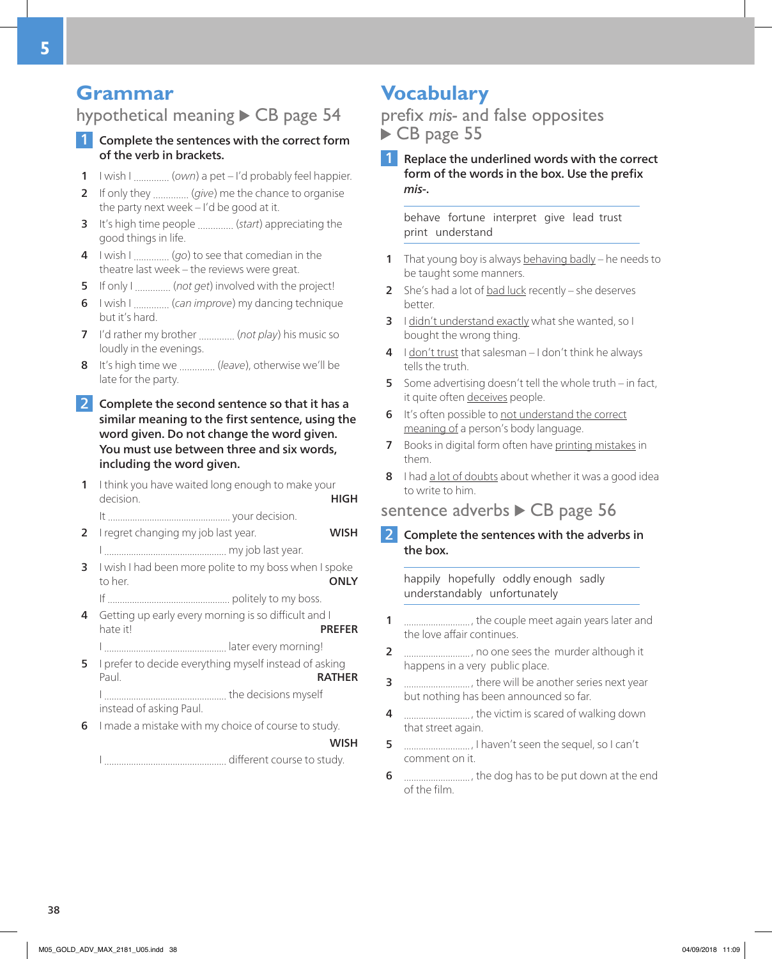## **Grammar**

### hypothetical meaning  $\triangleright$  CB page 54

#### Complete the sentences with the correct form of the verb in brackets.

- 1 I wish I .............. (*own*) a pet I'd probably feel happier.
- 2 If only they .............. (*give*) me the chance to organise the party next week – I'd be good at it.
- 3 It's high time people .............. (*start*) appreciating the good things in life.
- 4 I wish I .............. (*go*) to see that comedian in the theatre last week – the reviews were great.
- 5 If only I .............. (*not get*) involved with the project!
- 6 I wish I .............. (*can improve*) my dancing technique but it's hard.
- 7 I'd rather my brother .............. (*not play*) his music so loudly in the evenings.
- 8 It's high time we .............. (*leave*), otherwise we'll be late for the party.
- 2 Complete the second sentence so that it has a similar meaning to the first sentence, using the word given. Do not change the word given. You must use between three and six words, including the word given.
- 1 I think you have waited long enough to make your decision. **HIGH**

It .................................................. your decision. 2 I regret changing my job last year. WISH I .................................................. my job last year.

- 3 I wish I had been more polite to my boss when I spoke to her. **ONLY**
- If .................................................. politely to my boss. 4 Getting up early every morning is so difficult and I
- hate it! **PREFER** I .................................................. later every morning!
- 5 I prefer to decide everything myself instead of asking Paul. **RATHER** I .................................................. the decisions myself instead of asking Paul.
- 6 I made a mistake with my choice of course to study.

#### **WISH**

I .................................................. different course to study.

## **Vocabulary**

prefix *mis-* and false opposites CB page 55

**1** Replace the underlined words with the correct form of the words in the box. Use the prefix *mis-*.

behave fortune interpret give lead trust print understand

- 1 That young boy is always behaving badly he needs to be taught some manners.
- 2 She's had a lot of  $bad$  luck recently she deserves better.
- 3 I didn't understand exactly what she wanted, so I bought the wrong thing.
- 4 I don't trust that salesman I don't think he always tells the truth.
- 5 Some advertising doesn't tell the whole truth in fact, it quite often deceives people.
- 6 It's often possible to not understand the correct meaning of a person's body language.
- 7 Books in digital form often have printing mistakes in them.
- 8 I had a lot of doubts about whether it was a good idea to write to him.

### sentence adverbs  $\triangleright$  CB page 56

2 Complete the sentences with the adverbs in the box.

happily hopefully oddly enough sadly understandably unfortunately

- 1 ............................., the couple meet again years later and the love affair continues.
- 2 ..........................., no one sees the murder although it happens in a very public place.
- 3 ..........................., there will be another series next year but nothing has been announced so far.
- 4 ............................, the victim is scared of walking down that street again.
- 5 ..........................., I haven't seen the sequel, so I can't comment on it.
- 6 ..........................., the dog has to be put down at the end of the film.